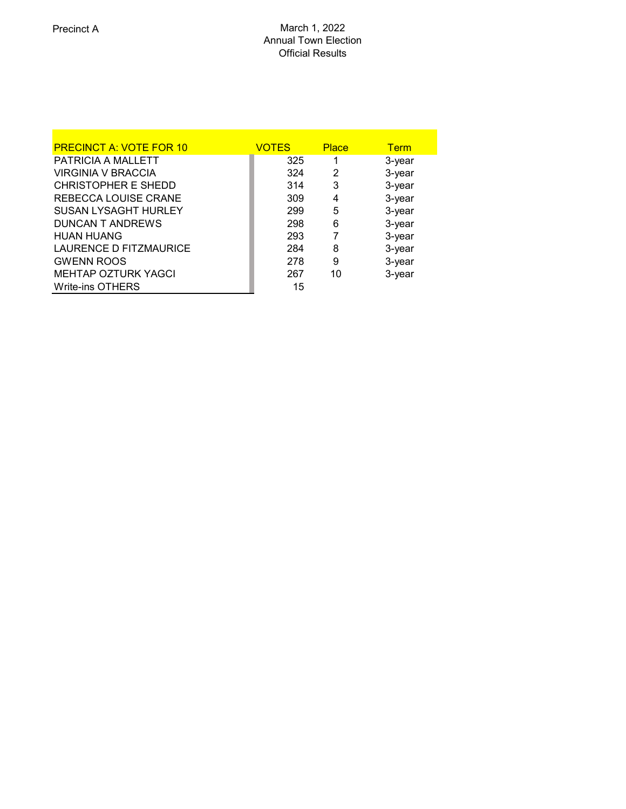| <b>PRECINCT A: VOTE FOR 10</b> | <b>VOTES</b> | <b>Place</b> | <b>Term</b> |
|--------------------------------|--------------|--------------|-------------|
| PATRICIA A MALLETT             | 325          |              | 3-year      |
| <b>VIRGINIA V BRACCIA</b>      | 324          | 2            | 3-year      |
| <b>CHRISTOPHER E SHEDD</b>     | 314          | 3            | 3-year      |
| <b>REBECCA LOUISE CRANE</b>    | 309          | 4            | 3-year      |
| <b>SUSAN LYSAGHT HURLEY</b>    | 299          | 5            | 3-year      |
| <b>DUNCAN T ANDREWS</b>        | 298          | 6            | 3-year      |
| <b>HUAN HUANG</b>              | 293          | 7            | 3-year      |
| LAURENCE D FITZMAURICE         | 284          | 8            | 3-year      |
| <b>GWENN ROOS</b>              | 278          | 9            | 3-year      |
| <b>MEHTAP OZTURK YAGCI</b>     | 267          | 10           | 3-year      |
| <b>Write-ins OTHERS</b>        | 15           |              |             |
|                                |              |              |             |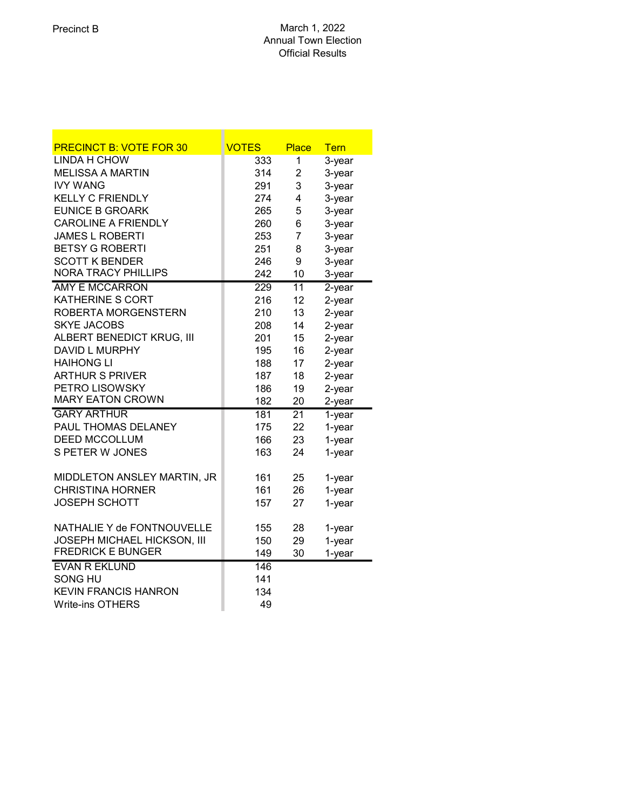| <b>PRECINCT B: VOTE FOR 30</b> | <b>VOTES</b>     | <b>Place</b>    | <b>Tern</b>          |
|--------------------------------|------------------|-----------------|----------------------|
| <b>LINDA H CHOW</b>            | 333              | 1               | 3-year               |
| <b>MELISSA A MARTIN</b>        | 314              | $\overline{2}$  | 3-year               |
| <b>IVY WANG</b>                | 291              | 3               | 3-year               |
| <b>KELLY C FRIENDLY</b>        | 274              | 4               | 3-year               |
| <b>EUNICE B GROARK</b>         | 265              | 5               | 3-year               |
| <b>CAROLINE A FRIENDLY</b>     | 260              | 6               | 3-year               |
| <b>JAMES L ROBERTI</b>         | 253              | $\overline{7}$  | 3-year               |
| <b>BETSY G ROBERTI</b>         | 251              | 8               | 3-year               |
| <b>SCOTT K BENDER</b>          | 246              | 9               | 3-year               |
| <b>NORA TRACY PHILLIPS</b>     | 242              | 10              | 3-year               |
| <b>AMY E MCCARRON</b>          | $\overline{229}$ | $\overline{11}$ | $2$ -year            |
| <b>KATHERINE S CORT</b>        | 216              | 12              | 2-year               |
| <b>ROBERTA MORGENSTERN</b>     | 210              | 13              | 2-year               |
| <b>SKYE JACOBS</b>             | 208              | 14              | 2-year               |
| ALBERT BENEDICT KRUG, III      | 201              | 15              | 2-year               |
| <b>DAVID L MURPHY</b>          | 195              | 16              | 2-year               |
| <b>HAIHONG LI</b>              | 188              | 17              | 2-year               |
| <b>ARTHUR S PRIVER</b>         | 187              | 18              | 2-year               |
| PETRO LISOWSKY                 | 186              | 19              | 2-year               |
| <b>MARY EATON CROWN</b>        | 182              | 20              | 2-year               |
| <b>GARY ARTHUR</b>             | 181              | $\overline{21}$ | $\overline{1}$ -year |
| PAUL THOMAS DELANEY            | 175              | 22              | 1-year               |
| <b>DEED MCCOLLUM</b>           | 166              | 23              | 1-year               |
| S PETER W JONES                | 163              | 24              | 1-year               |
| MIDDLETON ANSLEY MARTIN, JR    | 161              | 25              | 1-year               |
| <b>CHRISTINA HORNER</b>        | 161              | 26              | 1-year               |
| <b>JOSEPH SCHOTT</b>           | 157              | 27              | 1-year               |
|                                |                  |                 |                      |
| NATHALIE Y de FONTNOUVELLE     | 155              | 28              | 1-year               |
| JOSEPH MICHAEL HICKSON, III    | 150              | 29              | 1-year               |
| <b>FREDRICK E BUNGER</b>       | 149              | 30              | 1-year               |
| <b>EVAN R EKLUND</b>           | 146              |                 |                      |
| SONG HU                        | 141              |                 |                      |
| <b>KEVIN FRANCIS HANRON</b>    | 134              |                 |                      |
| <b>Write-ins OTHERS</b>        | 49               |                 |                      |

u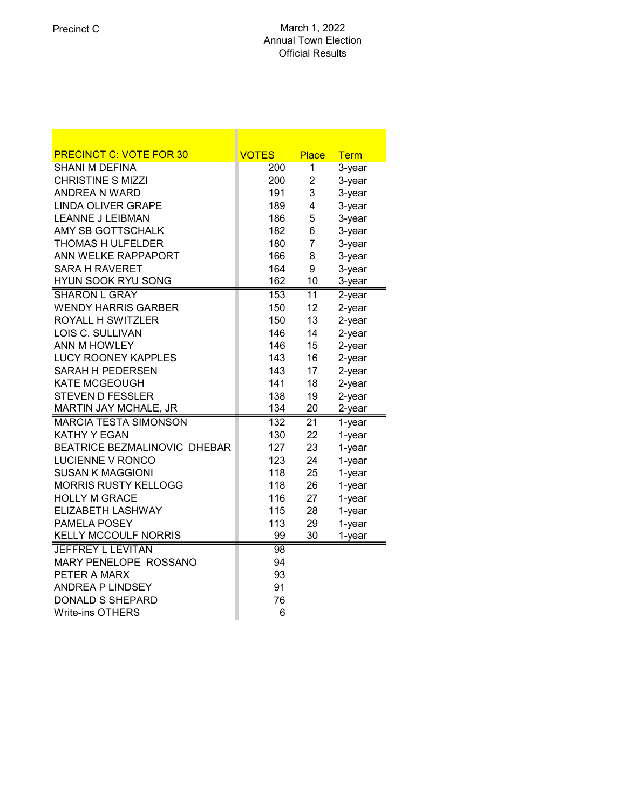| <b>PRECINCT C: VOTE FOR 30</b> | <b>VOTES</b>    | <b>Place</b>    | <b>Term</b> |
|--------------------------------|-----------------|-----------------|-------------|
| SHANI M DEFINA                 | 200             | 1               | 3-year      |
| <b>CHRISTINE S MIZZI</b>       | 200             | $\overline{2}$  | 3-year      |
| <b>ANDREA N WARD</b>           | 191             | 3               | 3-year      |
| <b>LINDA OLIVER GRAPE</b>      | 189             | 4               | 3-year      |
| <b>LEANNE J LEIBMAN</b>        | 186             | 5               | 3-year      |
| AMY SB GOTTSCHALK              | 182             | 6               | 3-year      |
| THOMAS H ULFELDER              | 180             | $\overline{7}$  | 3-year      |
| ANN WELKE RAPPAPORT            | 166             | 8               | 3-year      |
| <b>SARA H RAVERET</b>          | 164             | 9               | 3-year      |
| <b>HYUN SOOK RYU SONG</b>      | 162             | 10              | 3-year      |
| <b>SHARON L GRAY</b>           | 153             | $\overline{11}$ | $2$ -year   |
| <b>WENDY HARRIS GARBER</b>     | 150             | 12              | $2$ -year   |
| ROYALL H SWITZLER              | 150             | 13              | $2$ -year   |
| LOIS C. SULLIVAN               | 146             | 14              | 2-year      |
| ANN M HOWLEY                   | 146             | 15              | 2-year      |
| <b>LUCY ROONEY KAPPLES</b>     | 143             | 16              | 2-year      |
| <b>SARAH H PEDERSEN</b>        | 143             | 17              | 2-year      |
| <b>KATE MCGEOUGH</b>           | 141             | 18              | 2-year      |
| <b>STEVEN D FESSLER</b>        | 138             | 19              | 2-year      |
| MARTIN JAY MCHALE, JR          | 134             | 20              | 2-year      |
| <b>MARCIA TESTA SIMONSON</b>   | 132             | $\overline{21}$ | 1-year      |
| <b>KATHY Y EGAN</b>            | 130             | 22              | 1-year      |
| BEATRICE BEZMALINOVIC DHEBAR   | 127             | 23              | 1-year      |
| <b>LUCIENNE V RONCO</b>        | 123             | 24              | 1-year      |
| <b>SUSAN K MAGGIONI</b>        | 118             | 25              | 1-year      |
| <b>MORRIS RUSTY KELLOGG</b>    | 118             | 26              | 1-year      |
| <b>HOLLY M GRACE</b>           | 116             | 27              | 1-year      |
| <b>ELIZABETH LASHWAY</b>       | 115             | 28              | 1-year      |
| PAMELA POSEY                   | 113             | 29              | 1-year      |
| <b>KELLY MCCOULF NORRIS</b>    | 99              | 30              | 1-year      |
| <b>JEFFREY L LEVITAN</b>       | $\overline{98}$ |                 |             |
| MARY PENELOPE ROSSANO          | 94              |                 |             |
| PETER A MARX                   | 93              |                 |             |
| <b>ANDREA P LINDSEY</b>        | 91              |                 |             |
| <b>DONALD S SHEPARD</b>        | 76              |                 |             |
| <b>Write-ins OTHERS</b>        | 6               |                 |             |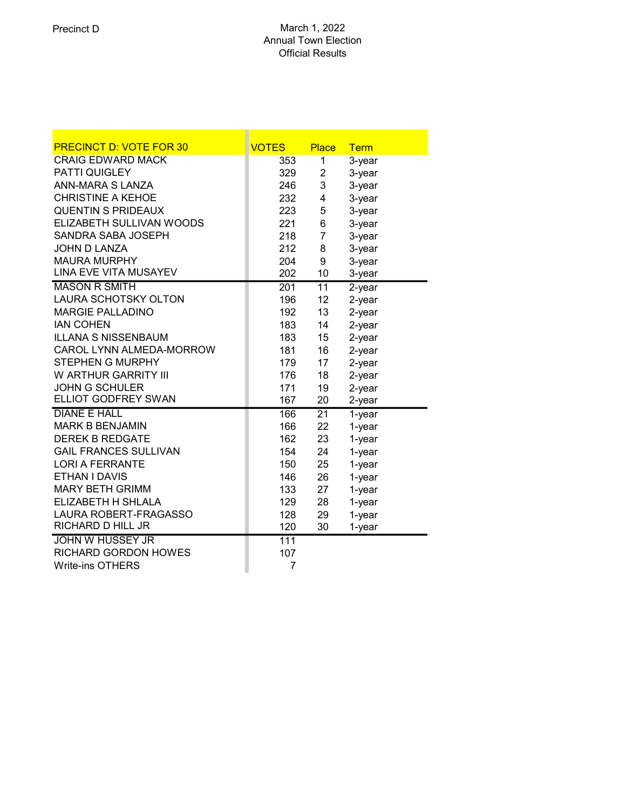| <b>PRECINCT D: VOTE FOR 30</b> | <b>VOTES</b> | <b>Place</b>    | <b>Term</b> |
|--------------------------------|--------------|-----------------|-------------|
| <b>CRAIG EDWARD MACK</b>       | 353          | 1               | 3-year      |
| PATTI QUIGLEY                  | 329          | $\overline{2}$  | 3-year      |
| ANN-MARA S LANZA               | 246          | 3               | 3-year      |
| <b>CHRISTINE A KEHOE</b>       | 232          | 4               | 3-year      |
| <b>QUENTIN S PRIDEAUX</b>      | 223          | 5               | 3-year      |
| ELIZABETH SULLIVAN WOODS       | 221          | 6               | 3-year      |
| SANDRA SABA JOSEPH             | 218          | $\overline{7}$  | 3-year      |
| JOHN D LANZA                   | 212          | 8               | 3-year      |
| <b>MAURA MURPHY</b>            | 204          | 9               | 3-year      |
| LINA EVE VITA MUSAYEV          | 202          | 10              | 3-year      |
| <b>MASON R SMITH</b>           | 201          | $\overline{11}$ | $2$ -year   |
| LAURA SCHOTSKY OLTON           | 196          | 12              | 2-year      |
| <b>MARGIE PALLADINO</b>        | 192          | 13              | $2$ -year   |
| <b>IAN COHEN</b>               | 183          | 14              | $2$ -year   |
| <b>ILLANA S NISSENBAUM</b>     | 183          | 15              | 2-year      |
| CAROL LYNN ALMEDA-MORROW       | 181          | 16              | 2-year      |
| <b>STEPHEN G MURPHY</b>        | 179          | 17              | $2$ -year   |
| W ARTHUR GARRITY III           | 176          | 18              | $2$ -year   |
| <b>JOHN G SCHULER</b>          | 171          | 19              | 2-year      |
| <b>ELLIOT GODFREY SWAN</b>     | 167          | 20              | 2-year      |
| <b>DIANE E HALL</b>            | 166          | $\overline{21}$ | 1-year      |
| <b>MARK B BENJAMIN</b>         | 166          | 22              | 1-year      |
| <b>DEREK B REDGATE</b>         | 162          | 23              | 1-year      |
| <b>GAIL FRANCES SULLIVAN</b>   | 154          | 24              | 1-year      |
| <b>LORI A FERRANTE</b>         | 150          | 25              | 1-year      |
| ETHAN I DAVIS                  | 146          | 26              | 1-year      |
| <b>MARY BETH GRIMM</b>         | 133          | 27              | 1-year      |
| ELIZABETH H SHLALA             | 129          | 28              | 1-year      |
| LAURA ROBERT-FRAGASSO          | 128          | 29              | 1-year      |
| RICHARD D HILL JR              | 120          | 30              | 1-year      |
| <b>JOHN W HUSSEY JR</b>        | 111          |                 |             |
| <b>RICHARD GORDON HOWES</b>    | 107          |                 |             |
| <b>Write-ins OTHERS</b>        | 7            |                 |             |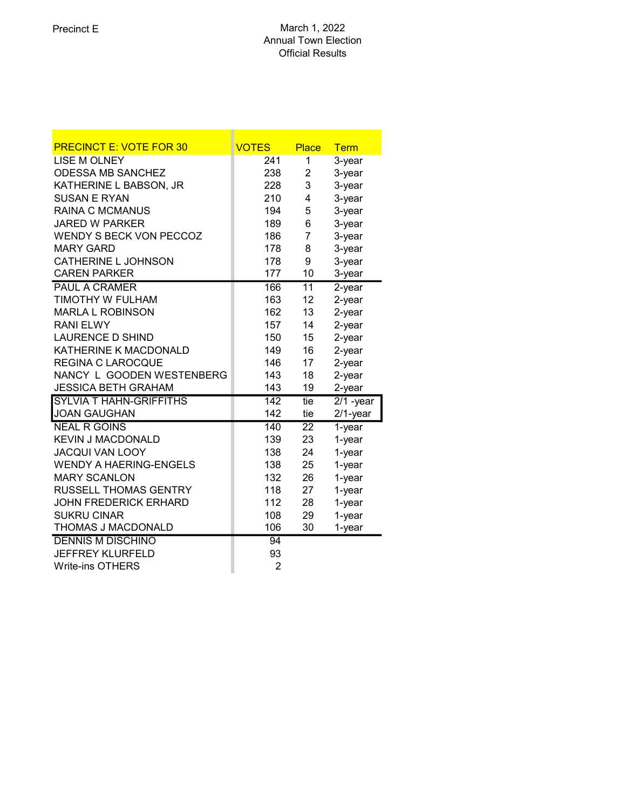| <b>PRECINCT E: VOTE FOR 30</b> | <b>VOTES</b>     | <b>Place</b>    | <b>Term</b> |
|--------------------------------|------------------|-----------------|-------------|
| <b>LISE M OLNEY</b>            | 241              | 1               | 3-year      |
| <b>ODESSA MB SANCHEZ</b>       | 238              | 2               | 3-year      |
| KATHERINE L BABSON, JR         | 228              | 3               | 3-year      |
| <b>SUSAN E RYAN</b>            | 210              | 4               | 3-year      |
| <b>RAINA C MCMANUS</b>         | 194              | 5               | 3-year      |
| <b>JARED W PARKER</b>          | 189              | 6               | 3-year      |
| <b>WENDY S BECK VON PECCOZ</b> | 186              | 7               | 3-year      |
| <b>MARY GARD</b>               | 178              | 8               | 3-year      |
| CATHERINE L JOHNSON            | 178              | 9               | 3-year      |
| <b>CAREN PARKER</b>            | 177              | 10              | 3-year      |
| <b>PAUL A CRAMER</b>           | 166              | $\overline{11}$ | $2$ -year   |
| TIMOTHY W FULHAM               | 163              | 12              | 2-year      |
| <b>MARLA L ROBINSON</b>        | 162              | 13              | 2-year      |
| <b>RANI ELWY</b>               | 157              | 14              | 2-year      |
| <b>LAURENCE D SHIND</b>        | 150              | 15              | $2$ -year   |
| KATHERINE K MACDONALD          | 149              | 16              | 2-year      |
| <b>REGINA C LAROCQUE</b>       | 146              | 17              | 2-year      |
| NANCY L GOODEN WESTENBERG      | 143              | 18              | 2-year      |
| <b>JESSICA BETH GRAHAM</b>     | 143              | 19              | 2-year      |
| <b>SYLVIA T HAHN-GRIFFITHS</b> | $\overline{142}$ | tie             | $2/1$ -year |
| <b>JOAN GAUGHAN</b>            | 142              | tie             | $2/1$ -year |
| <b>NEAL R GOINS</b>            | 140              | $\overline{22}$ | $1$ -year   |
| <b>KEVIN J MACDONALD</b>       | 139              | 23              | 1-year      |
| <b>JACQUI VAN LOOY</b>         | 138              | 24              | 1-year      |
| <b>WENDY A HAERING-ENGELS</b>  | 138              | 25              | 1-year      |
| <b>MARY SCANLON</b>            | 132              | 26              | 1-year      |
| <b>RUSSELL THOMAS GENTRY</b>   | 118              | 27              | 1-year      |
| <b>JOHN FREDERICK ERHARD</b>   | 112              | 28              | 1-year      |
| <b>SUKRU CINAR</b>             | 108              | 29              | 1-year      |
| THOMAS J MACDONALD             | 106              | 30              | 1-year      |
| <b>DENNIS M DISCHINO</b>       | 94               |                 |             |
| <b>JEFFREY KLURFELD</b>        | 93               |                 |             |
| <b>Write-ins OTHERS</b>        | $\overline{2}$   |                 |             |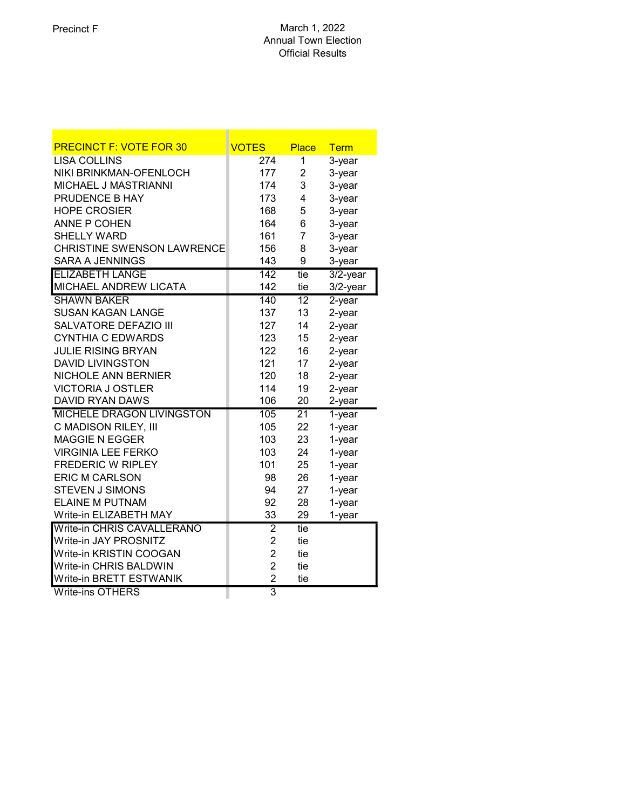| <b>PRECINCT F: VOTE FOR 30</b>    | <b>VOTES</b>   | <b>Place</b>    | <b>Term</b> |
|-----------------------------------|----------------|-----------------|-------------|
| <b>LISA COLLINS</b>               | 274            | 1               | 3-year      |
| NIKI BRINKMAN-OFENLOCH            | 177            | $\overline{2}$  | 3-year      |
| MICHAEL J MASTRIANNI              | 174            | 3               | 3-year      |
| PRUDENCE B HAY                    | 173            | 4               | 3-year      |
| <b>HOPE CROSIER</b>               | 168            | 5               | 3-year      |
| <b>ANNE P COHEN</b>               | 164            | 6               | 3-year      |
| <b>SHELLY WARD</b>                | 161            | $\overline{7}$  | 3-year      |
| <b>CHRISTINE SWENSON LAWRENCE</b> | 156            | 8               | 3-year      |
| <b>SARA A JENNINGS</b>            | 143            | 9               | 3-year      |
| <b>ELIZABETH LANGE</b>            | 142            | tie             | $3/2$ -year |
| MICHAEL ANDREW LICATA             | 142            | tie             | $3/2$ -year |
| <b>SHAWN BAKER</b>                | 140            | $\overline{12}$ | $2$ -year   |
| <b>SUSAN KAGAN LANGE</b>          | 137            | 13              | 2-year      |
| <b>SALVATORE DEFAZIO III</b>      | 127            | 14              | 2-year      |
| <b>CYNTHIA C EDWARDS</b>          | 123            | 15              | 2-year      |
| <b>JULIE RISING BRYAN</b>         | 122            | 16              | 2-year      |
| <b>DAVID LIVINGSTON</b>           | 121            | 17              | 2-year      |
| <b>NICHOLE ANN BERNIER</b>        | 120            | 18              | 2-year      |
| <b>VICTORIA J OSTLER</b>          | 114            | 19              | 2-year      |
| DAVID RYAN DAWS                   | 106            | 20              | 2-year      |
| <b>MICHELE DRAGON LIVINGSTON</b>  | 105            | $\overline{21}$ | 1-year      |
| C MADISON RILEY, III              | 105            | 22              | 1-year      |
| <b>MAGGIE N EGGER</b>             | 103            | 23              | 1-year      |
| <b>VIRGINIA LEE FERKO</b>         | 103            | 24              | 1-year      |
| <b>FREDERIC W RIPLEY</b>          | 101            | 25              | 1-year      |
| <b>ERIC M CARLSON</b>             | 98             | 26              | 1-year      |
| <b>STEVEN J SIMONS</b>            | 94             | 27              | 1-year      |
| <b>ELAINE M PUTNAM</b>            | 92             | 28              | 1-year      |
| Write-in ELIZABETH MAY            | 33             | 29              | 1-year      |
| Write-in CHRIS CAVALLERANO        | $\overline{2}$ | tie             |             |
| Write-in JAY PROSNITZ             | $\overline{2}$ | tie             |             |
| Write-in KRISTIN COOGAN           | $\overline{2}$ | tie             |             |
| Write-in CHRIS BALDWIN            | $\overline{2}$ | tie             |             |
| Write-in BRETT ESTWANIK           | $\overline{2}$ | tie             |             |
| <b>Write-ins OTHERS</b>           | $\overline{3}$ |                 |             |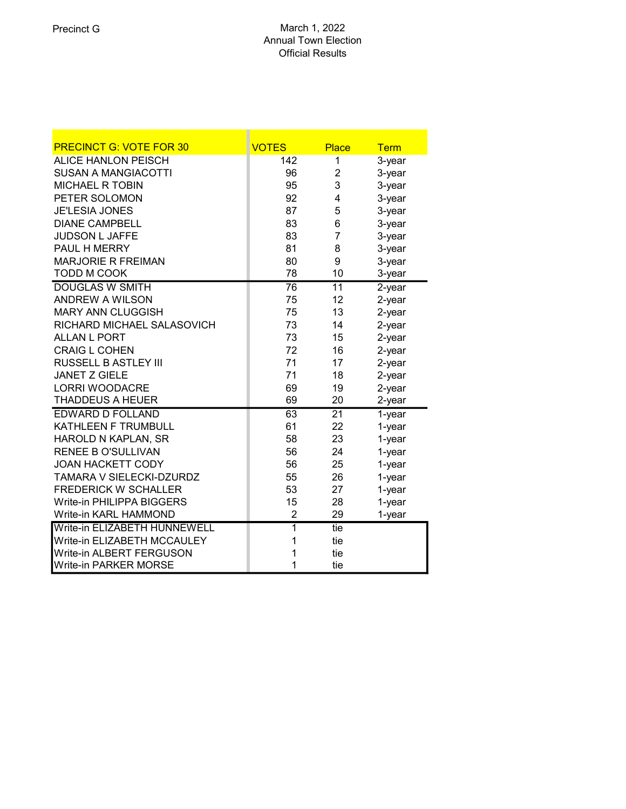| <b>PRECINCT G: VOTE FOR 30</b>   | <b>VOTES</b>    | <b>Place</b>    | <b>Term</b> |
|----------------------------------|-----------------|-----------------|-------------|
| <b>ALICE HANLON PEISCH</b>       | 142             | 1               | 3-year      |
| <b>SUSAN A MANGIACOTTI</b>       | 96              | 2               | 3-year      |
| <b>MICHAEL R TOBIN</b>           | 95              | 3               | 3-year      |
| PETER SOLOMON                    | 92              | 4               | 3-year      |
| <b>JE'LESIA JONES</b>            | 87              | 5               | 3-year      |
| <b>DIANE CAMPBELL</b>            | 83              | 6               | 3-year      |
| <b>JUDSON L JAFFE</b>            | 83              | 7               | 3-year      |
| PAUL H MERRY                     | 81              | 8               | 3-year      |
| <b>MARJORIE R FREIMAN</b>        | 80              | 9               | 3-year      |
| TODD M COOK                      | 78              | 10              | 3-year      |
| <b>DOUGLAS W SMITH</b>           | $\overline{76}$ | $\overline{11}$ | $2$ -year   |
| <b>ANDREW A WILSON</b>           | 75              | 12              | 2-year      |
| <b>MARY ANN CLUGGISH</b>         | 75              | 13              | 2-year      |
| RICHARD MICHAEL SALASOVICH       | 73              | 14              | 2-year      |
| <b>ALLAN L PORT</b>              | 73              | 15              | 2-year      |
| <b>CRAIG L COHEN</b>             | 72              | 16              | 2-year      |
| <b>RUSSELL B ASTLEY III</b>      | 71              | 17              | 2-year      |
| <b>JANET Z GIELE</b>             | 71              | 18              | 2-year      |
| <b>LORRI WOODACRE</b>            | 69              | 19              | $2$ -year   |
| <b>THADDEUS A HEUER</b>          | 69              | 20              | 2-year      |
| <b>EDWARD D FOLLAND</b>          | 63              | $\overline{21}$ | $1$ -year   |
| KATHLEEN F TRUMBULL              | 61              | 22              | 1-year      |
| HAROLD N KAPLAN, SR              | 58              | 23              | 1-year      |
| <b>RENEE B O'SULLIVAN</b>        | 56              | 24              | 1-year      |
| <b>JOAN HACKETT CODY</b>         | 56              | 25              | 1-year      |
| TAMARA V SIELECKI-DZURDZ         | 55              | 26              | 1-year      |
| <b>FREDERICK W SCHALLER</b>      | 53              | 27              | 1-year      |
| <b>Write-in PHILIPPA BIGGERS</b> | 15              | 28              | 1-year      |
| Write-in KARL HAMMOND            | 2               | 29              | 1-year      |
| Write-in ELIZABETH HUNNEWELL     | $\overline{1}$  | tie             |             |
| Write-in ELIZABETH MCCAULEY      | 1               | tie             |             |
| Write-in ALBERT FERGUSON         | 1               | tie             |             |
| <b>Write-in PARKER MORSE</b>     | 1               | tie             |             |